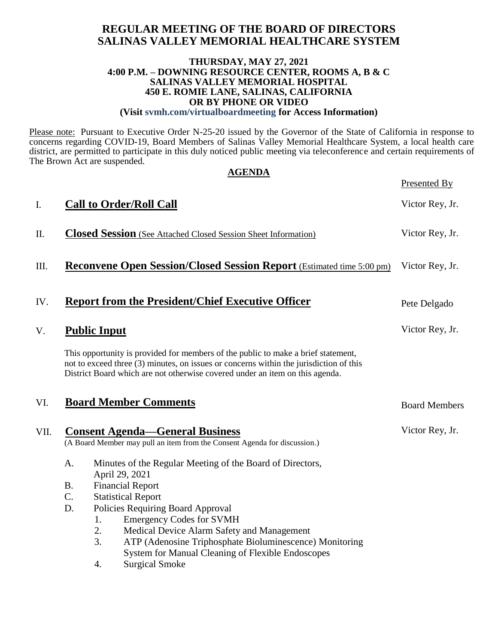## **REGULAR MEETING OF THE BOARD OF DIRECTORS SALINAS VALLEY MEMORIAL HEALTHCARE SYSTEM**

#### **THURSDAY, MAY 27, 2021 4:00 P.M. – DOWNING RESOURCE CENTER, ROOMS A, B & C SALINAS VALLEY MEMORIAL HOSPITAL 450 E. ROMIE LANE, SALINAS, CALIFORNIA OR BY PHONE OR VIDEO (Visit svmh.com/virtualboardmeeting for Access Information)**

Please note: Pursuant to Executive Order N-25-20 issued by the Governor of the State of California in response to concerns regarding COVID-19, Board Members of Salinas Valley Memorial Healthcare System, a local health care district, are permitted to participate in this duly noticed public meeting via teleconference and certain requirements of The Brown Act are suspended.

|      | <b>AGENDA</b>                                                                                                       |                                                                                                                                                                                                                                                             |                      |  |  |  |
|------|---------------------------------------------------------------------------------------------------------------------|-------------------------------------------------------------------------------------------------------------------------------------------------------------------------------------------------------------------------------------------------------------|----------------------|--|--|--|
|      |                                                                                                                     |                                                                                                                                                                                                                                                             | Presented By         |  |  |  |
| I.   |                                                                                                                     | <b>Call to Order/Roll Call</b>                                                                                                                                                                                                                              | Victor Rey, Jr.      |  |  |  |
| П.   |                                                                                                                     | <b>Closed Session</b> (See Attached Closed Session Sheet Information)                                                                                                                                                                                       | Victor Rey, Jr.      |  |  |  |
| Ш.   |                                                                                                                     | <b>Reconvene Open Session/Closed Session Report</b> (Estimated time 5:00 pm)                                                                                                                                                                                | Victor Rey, Jr.      |  |  |  |
| IV.  |                                                                                                                     | <b>Report from the President/Chief Executive Officer</b>                                                                                                                                                                                                    | Pete Delgado         |  |  |  |
| V.   |                                                                                                                     | <b>Public Input</b>                                                                                                                                                                                                                                         | Victor Rey, Jr.      |  |  |  |
|      |                                                                                                                     | This opportunity is provided for members of the public to make a brief statement,<br>not to exceed three (3) minutes, on issues or concerns within the jurisdiction of this<br>District Board which are not otherwise covered under an item on this agenda. |                      |  |  |  |
| VI.  |                                                                                                                     | <b>Board Member Comments</b>                                                                                                                                                                                                                                | <b>Board Members</b> |  |  |  |
| VII. | <b>Consent Agenda—General Business</b><br>(A Board Member may pull an item from the Consent Agenda for discussion.) |                                                                                                                                                                                                                                                             | Victor Rey, Jr.      |  |  |  |
|      | A.                                                                                                                  | Minutes of the Regular Meeting of the Board of Directors,<br>April 29, 2021                                                                                                                                                                                 |                      |  |  |  |
|      | <b>B.</b>                                                                                                           | <b>Financial Report</b>                                                                                                                                                                                                                                     |                      |  |  |  |
|      | C.                                                                                                                  | <b>Statistical Report</b>                                                                                                                                                                                                                                   |                      |  |  |  |
|      | D.                                                                                                                  | Policies Requiring Board Approval                                                                                                                                                                                                                           |                      |  |  |  |
|      |                                                                                                                     | <b>Emergency Codes for SVMH</b><br>1.                                                                                                                                                                                                                       |                      |  |  |  |
|      |                                                                                                                     | Medical Device Alarm Safety and Management<br>2.                                                                                                                                                                                                            |                      |  |  |  |
|      |                                                                                                                     | 3.<br>ATP (Adenosine Triphosphate Bioluminescence) Monitoring                                                                                                                                                                                               |                      |  |  |  |
|      |                                                                                                                     | System for Manual Cleaning of Flexible Endoscopes                                                                                                                                                                                                           |                      |  |  |  |
|      |                                                                                                                     | <b>Surgical Smoke</b><br>4.                                                                                                                                                                                                                                 |                      |  |  |  |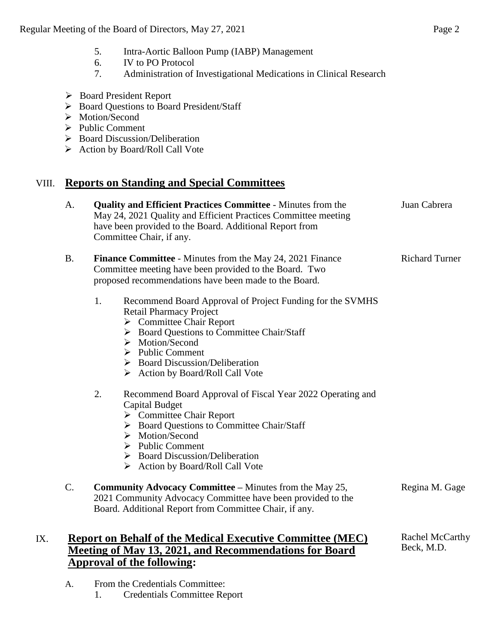- 5. Intra-Aortic Balloon Pump (IABP) Management
- 6. IV to PO Protocol
- 7. Administration of Investigational Medications in Clinical Research
- Board President Report
- ▶ Board Questions to Board President/Staff
- > Motion/Second
- $\triangleright$  Public Comment
- $\triangleright$  Board Discussion/Deliberation
- $\triangleright$  Action by Board/Roll Call Vote

# VIII. **Reports on Standing and Special Committees**

|     | A.        | <b>Quality and Efficient Practices Committee - Minutes from the</b><br>May 24, 2021 Quality and Efficient Practices Committee meeting<br>have been provided to the Board. Additional Report from<br>Committee Chair, if any.                                                                                                                                                                                                                                                           | Juan Cabrera                  |
|-----|-----------|----------------------------------------------------------------------------------------------------------------------------------------------------------------------------------------------------------------------------------------------------------------------------------------------------------------------------------------------------------------------------------------------------------------------------------------------------------------------------------------|-------------------------------|
|     | <b>B.</b> | <b>Finance Committee - Minutes from the May 24, 2021 Finance</b><br>Committee meeting have been provided to the Board. Two<br>proposed recommendations have been made to the Board.                                                                                                                                                                                                                                                                                                    | <b>Richard Turner</b>         |
|     |           | 1.<br>Recommend Board Approval of Project Funding for the SVMHS<br><b>Retail Pharmacy Project</b><br>$\triangleright$ Committee Chair Report<br>> Board Questions to Committee Chair/Staff<br>$\triangleright$ Motion/Second<br>$\triangleright$ Public Comment<br>$\triangleright$ Board Discussion/Deliberation<br>> Action by Board/Roll Call Vote<br>2.<br>Recommend Board Approval of Fiscal Year 2022 Operating and<br>Capital Budget<br>$\triangleright$ Committee Chair Report |                               |
|     |           | > Board Questions to Committee Chair/Staff<br>$\triangleright$ Motion/Second<br>$\triangleright$ Public Comment<br>$\triangleright$ Board Discussion/Deliberation<br>> Action by Board/Roll Call Vote                                                                                                                                                                                                                                                                                  |                               |
|     | C.        | <b>Community Advocacy Committee – Minutes from the May 25,</b><br>2021 Community Advocacy Committee have been provided to the<br>Board. Additional Report from Committee Chair, if any.                                                                                                                                                                                                                                                                                                | Regina M. Gage                |
| IX. |           | <b>Report on Behalf of the Medical Executive Committee (MEC)</b><br><b>Meeting of May 13, 2021, and Recommendations for Board</b><br><b>Approval of the following:</b>                                                                                                                                                                                                                                                                                                                 | Rachel McCarthy<br>Beck, M.D. |

- A. From the Credentials Committee:
	- 1. Credentials Committee Report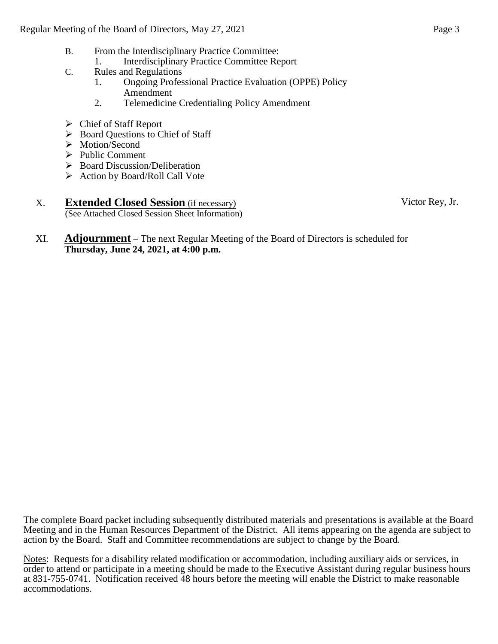- B. From the Interdisciplinary Practice Committee:
	- 1. Interdisciplinary Practice Committee Report
- C. Rules and Regulations
	- 1. Ongoing Professional Practice Evaluation (OPPE) Policy Amendment
	- 2. Telemedicine Credentialing Policy Amendment
- Chief of Staff Report
- $\triangleright$  Board Questions to Chief of Staff
- > Motion/Second
- $\triangleright$  Public Comment
- ▶ Board Discussion/Deliberation
- $\triangleright$  Action by Board/Roll Call Vote

#### X. **Extended Closed Session** (if necessary) (See Attached Closed Session Sheet Information)

Victor Rey, Jr.

XI. **Adjournment** – The next Regular Meeting of the Board of Directors is scheduled for **Thursday, June 24, 2021, at 4:00 p.m.**

The complete Board packet including subsequently distributed materials and presentations is available at the Board Meeting and in the Human Resources Department of the District. All items appearing on the agenda are subject to action by the Board. Staff and Committee recommendations are subject to change by the Board.

Notes: Requests for a disability related modification or accommodation, including auxiliary aids or services, in order to attend or participate in a meeting should be made to the Executive Assistant during regular business hours at 831-755-0741. Notification received 48 hours before the meeting will enable the District to make reasonable accommodations.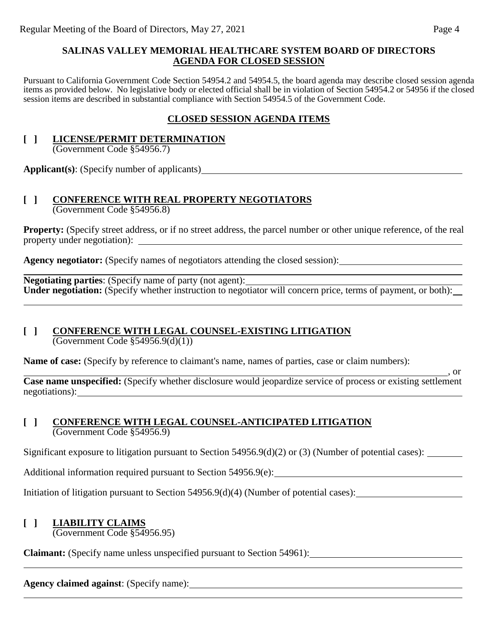### **SALINAS VALLEY MEMORIAL HEALTHCARE SYSTEM BOARD OF DIRECTORS AGENDA FOR CLOSED SESSION**

Pursuant to California Government Code Section 54954.2 and 54954.5, the board agenda may describe closed session agenda items as provided below. No legislative body or elected official shall be in violation of Section 54954.2 or 54956 if the closed session items are described in substantial compliance with Section 54954.5 of the Government Code.

## **CLOSED SESSION AGENDA ITEMS**

# **[ ] LICENSE/PERMIT DETERMINATION**

(Government Code §54956.7)

**Applicant(s)**: (Specify number of applicants)

#### **[ ] CONFERENCE WITH REAL PROPERTY NEGOTIATORS** (Government Code §54956.8)

**Property:** (Specify street address, or if no street address, the parcel number or other unique reference, of the real property under negotiation):

**Agency negotiator:** (Specify names of negotiators attending the closed session):

**Negotiating parties**: (Specify name of party (not agent): **Under negotiation:** (Specify whether instruction to negotiator will concern price, terms of payment, or both):

# **[ ] CONFERENCE WITH LEGAL COUNSEL-EXISTING LITIGATION**

(Government Code §54956.9(d)(1))

**Name of case:** (Specify by reference to claimant's name, names of parties, case or claim numbers):

<u>, or</u> **Case name unspecified:** (Specify whether disclosure would jeopardize service of process or existing settlement negotiations):

### **[ ] CONFERENCE WITH LEGAL COUNSEL-ANTICIPATED LITIGATION** (Government Code §54956.9)

Significant exposure to litigation pursuant to Section 54956.9(d)(2) or (3) (Number of potential cases):

Additional information required pursuant to Section 54956.9(e):

Initiation of litigation pursuant to Section 54956.9(d)(4) (Number of potential cases):

# **[ ] LIABILITY CLAIMS**

(Government Code §54956.95)

**Claimant:** (Specify name unless unspecified pursuant to Section 54961):

# **Agency claimed against**: (Specify name):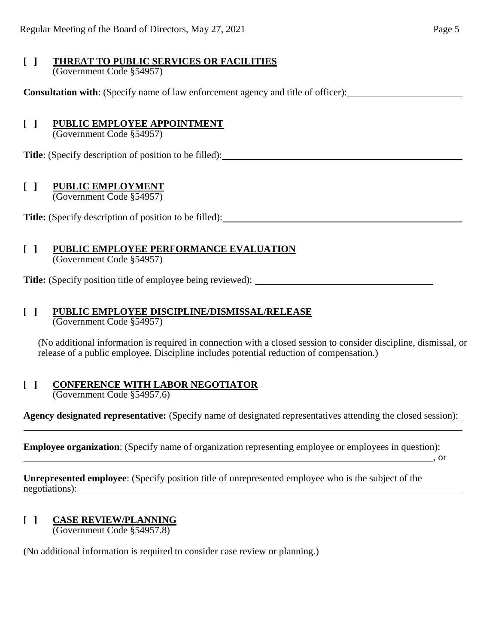#### **[ ] THREAT TO PUBLIC SERVICES OR FACILITIES** (Government Code §54957)

**Consultation with**: (Specify name of law enforcement agency and title of officer):

# **[ ] PUBLIC EMPLOYEE APPOINTMENT**

(Government Code §54957)

**Title**: (Specify description of position to be filled):

# **[ ] PUBLIC EMPLOYMENT**

(Government Code §54957)

**Title:** (Specify description of position to be filled):

#### **[ ] PUBLIC EMPLOYEE PERFORMANCE EVALUATION** (Government Code §54957)

**Title:** (Specify position title of employee being reviewed):

# **[ ] PUBLIC EMPLOYEE DISCIPLINE/DISMISSAL/RELEASE**

(Government Code §54957)

(No additional information is required in connection with a closed session to consider discipline, dismissal, or release of a public employee. Discipline includes potential reduction of compensation.)

#### **[ ] CONFERENCE WITH LABOR NEGOTIATOR** (Government Code §54957.6)

**Agency designated representative:** (Specify name of designated representatives attending the closed session):

**Employee organization**: (Specify name of organization representing employee or employees in question):

 $\overline{\phantom{a}}$ , or

**Unrepresented employee**: (Specify position title of unrepresented employee who is the subject of the negotiations):

#### **[ ] CASE REVIEW/PLANNING** (Government Code §54957.8)

l

(No additional information is required to consider case review or planning.)